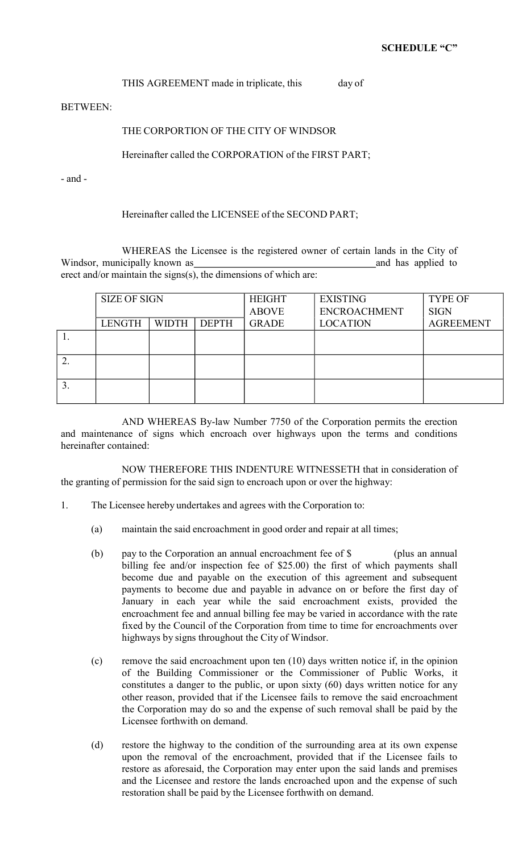## THIS AGREEMENT made in triplicate, this day of

BETWEEN:

## THE CORPORTION OF THE CITY OF WINDSOR

## Hereinafter called the CORPORATION of the FIRST PART;

- and -

## Hereinafter called the LICENSEE of the SECOND PART;

WHEREAS the Licensee is the registered owner of certain lands in the City of Windsor, municipally known as and has applied to and has applied to erect and/or maintain the signs(s), the dimensions of which are:

| <b>SIZE OF SIGN</b> |              |              | <b>HEIGHT</b><br><b>ABOVE</b> | <b>EXISTING</b><br><b>ENCROACHMENT</b> | <b>TYPE OF</b><br><b>SIGN</b> |
|---------------------|--------------|--------------|-------------------------------|----------------------------------------|-------------------------------|
| <b>LENGTH</b>       | <b>WIDTH</b> | <b>DEPTH</b> | <b>GRADE</b>                  | <b>LOCATION</b>                        | <b>AGREEMENT</b>              |
|                     |              |              |                               |                                        |                               |
|                     |              |              |                               |                                        |                               |
|                     |              |              |                               |                                        |                               |

AND WHEREAS By-law Number 7750 of the Corporation permits the erection and maintenance of signs which encroach over highways upon the terms and conditions hereinafter contained:

NOW THEREFORE THIS INDENTURE WITNESSETH that in consideration of the granting of permission for the said sign to encroach upon or over the highway:

- 1. The Licensee hereby undertakes and agrees with the Corporation to:
	- (a) maintain the said encroachment in good order and repair at all times;
	- (b) pay to the Corporation an annual encroachment fee of \$ (plus an annual billing fee and/or inspection fee of \$25.00) the first of which payments shall become due and payable on the execution of this agreement and subsequent payments to become due and payable in advance on or before the first day of January in each year while the said encroachment exists, provided the encroachment fee and annual billing fee may be varied in accordance with the rate fixed by the Council of the Corporation from time to time for encroachments over highways by signs throughout the City of Windsor.
	- (c) remove the said encroachment upon ten (10) days written notice if, in the opinion of the Building Commissioner or the Commissioner of Public Works, it constitutes a danger to the public, or upon sixty (60) days written notice for any other reason, provided that if the Licensee fails to remove the said encroachment the Corporation may do so and the expense of such removal shall be paid by the Licensee forthwith on demand.
	- (d) restore the highway to the condition of the surrounding area at its own expense upon the removal of the encroachment, provided that if the Licensee fails to restore as aforesaid, the Corporation may enter upon the said lands and premises and the Licensee and restore the lands encroached upon and the expense of such restoration shall be paid by the Licensee forthwith on demand.